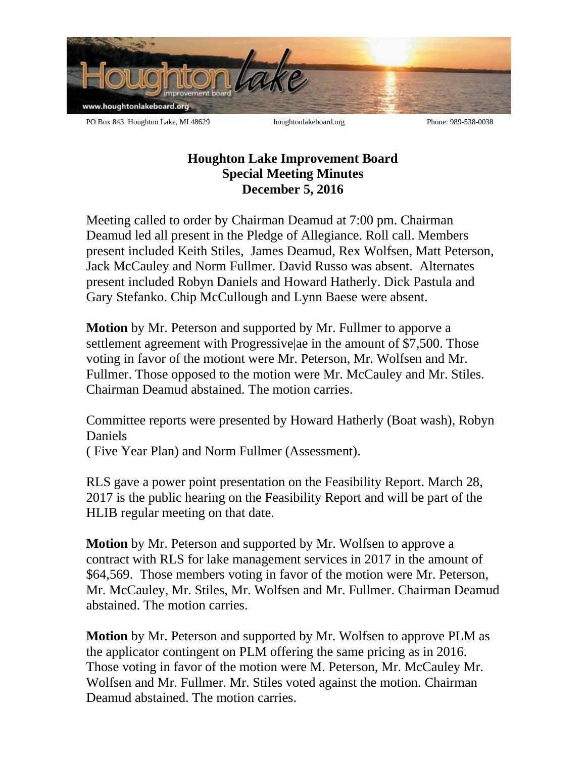

**Houghton Lake Improvement Board Special Meeting Minutes December 5, 2016**

Meeting called to order by Chairman Deamud at 7:00 pm. Chairman Deamud led all present in the Pledge of Allegiance. Roll call. Members present included Keith Stiles, James Deamud, Rex Wolfsen, Matt Peterson, Jack McCauley and Norm Fullmer. David Russo was absent. Alternates present included Robyn Daniels and Howard Hatherly. Dick Pastula and Gary Stefanko. Chip McCullough and Lynn Baese were absent.

**Motion** by Mr. Peterson and supported by Mr. Fullmer to apporve a settlement agreement with Progressive|ae in the amount of \$7,500. Those voting in favor of the motiont were Mr. Peterson, Mr. Wolfsen and Mr. Fullmer. Those opposed to the motion were Mr. McCauley and Mr. Stiles. Chairman Deamud abstained. The motion carries.

Committee reports were presented by Howard Hatherly (Boat wash), Robyn Daniels

( Five Year Plan) and Norm Fullmer (Assessment).

RLS gave a power point presentation on the Feasibility Report. March 28, 2017 is the public hearing on the Feasibility Report and will be part of the HLIB regular meeting on that date.

**Motion** by Mr. Peterson and supported by Mr. Wolfsen to approve a contract with RLS for lake management services in 2017 in the amount of \$64,569. Those members voting in favor of the motion were Mr. Peterson, Mr. McCauley, Mr. Stiles, Mr. Wolfsen and Mr. Fullmer. Chairman Deamud abstained. The motion carries.

**Motion** by Mr. Peterson and supported by Mr. Wolfsen to approve PLM as the applicator contingent on PLM offering the same pricing as in 2016. Those voting in favor of the motion were M. Peterson, Mr. McCauley Mr. Wolfsen and Mr. Fullmer. Mr. Stiles voted against the motion. Chairman Deamud abstained. The motion carries.